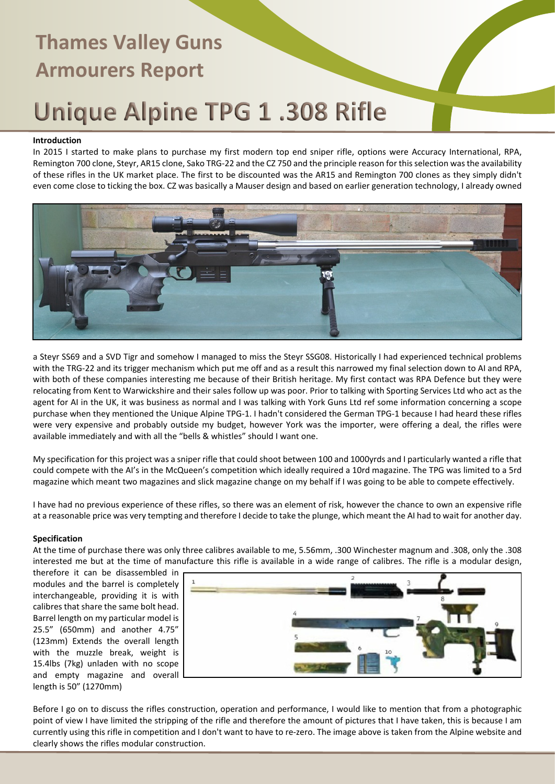# **Thames Valley Guns Armourers Report**

### Unique Alpine TPG 1.308 Rifle

#### **Introduction**

In 2015 I started to make plans to purchase my first modern top end sniper rifle, options were Accuracy International, RPA, Remington 700 clone, Steyr, AR15 clone, Sako TRG-22 and the CZ 750 and the principle reason for this selection was the availability of these rifles in the UK market place. The first to be discounted was the AR15 and Remington 700 clones as they simply didn't even come close to ticking the box. CZ was basically a Mauser design and based on earlier generation technology, I already owned



a Steyr SS69 and a SVD Tigr and somehow I managed to miss the Steyr SSG08. Historically I had experienced technical problems with the TRG-22 and its trigger mechanism which put me off and as a result this narrowed my final selection down to AI and RPA, with both of these companies interesting me because of their British heritage. My first contact was RPA Defence but they were relocating from Kent to Warwickshire and their sales follow up was poor. Prior to talking with Sporting Services Ltd who act as the agent for AI in the UK, it was business as normal and I was talking with York Guns Ltd ref some information concerning a scope purchase when they mentioned the Unique Alpine TPG-1. I hadn't considered the German TPG-1 because I had heard these rifles were very expensive and probably outside my budget, however York was the importer, were offering a deal, the rifles were available immediately and with all the "bells & whistles" should I want one.

My specification for this project was a sniper rifle that could shoot between 100 and 1000yrds and I particularly wanted a rifle that could compete with the AI's in the McQueen's competition which ideally required a 10rd magazine. The TPG was limited to a 5rd magazine which meant two magazines and slick magazine change on my behalf if I was going to be able to compete effectively.

I have had no previous experience of these rifles, so there was an element of risk, however the chance to own an expensive rifle at a reasonable price was very tempting and therefore I decide to take the plunge, which meant the AI had to wait for another day.

#### **Specification**

At the time of purchase there was only three calibres available to me, 5.56mm, .300 Winchester magnum and .308, only the .308 interested me but at the time of manufacture this rifle is available in a wide range of calibres. The rifle is a modular design,

therefore it can be disassembled in modules and the barrel is completely interchangeable, providing it is with calibres that share the same bolt head. Barrel length on my particular model is 25.5" (650mm) and another 4.75" (123mm) Extends the overall length with the muzzle break, weight is 15.4lbs (7kg) unladen with no scope and empty magazine and overall length is 50" (1270mm)



Before I go on to discuss the rifles construction, operation and performance, I would like to mention that from a photographic point of view I have limited the stripping of the rifle and therefore the amount of pictures that I have taken, this is because I am currently using this rifle in competition and I don't want to have to re-zero. The image above is taken from the Alpine website and clearly shows the rifles modular construction.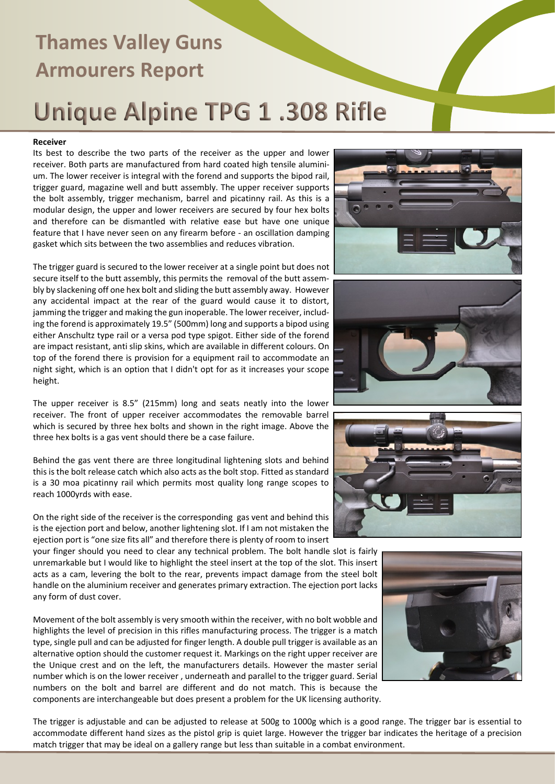## **Thames Valley Guns Armourers Report** Unique Alpine TPG 1.308 Rifle

#### **Receiver**

Its best to describe the two parts of the receiver as the upper and lower receiver. Both parts are manufactured from hard coated high tensile aluminium. The lower receiver is integral with the forend and supports the bipod rail, trigger guard, magazine well and butt assembly. The upper receiver supports the bolt assembly, trigger mechanism, barrel and picatinny rail. As this is a modular design, the upper and lower receivers are secured by four hex bolts and therefore can be dismantled with relative ease but have one unique feature that I have never seen on any firearm before - an oscillation damping gasket which sits between the two assemblies and reduces vibration.

The trigger guard is secured to the lower receiver at a single point but does not secure itself to the butt assembly, this permits the removal of the butt assembly by slackening off one hex bolt and sliding the butt assembly away. However any accidental impact at the rear of the guard would cause it to distort, jamming the trigger and making the gun inoperable. The lower receiver, including the forend is approximately 19.5" (500mm) long and supports a bipod using either Anschultz type rail or a versa pod type spigot. Either side of the forend are impact resistant, anti slip skins, which are available in different colours. On top of the forend there is provision for a equipment rail to accommodate an night sight, which is an option that I didn't opt for as it increases your scope height.

The upper receiver is 8.5" (215mm) long and seats neatly into the lower receiver. The front of upper receiver accommodates the removable barrel which is secured by three hex bolts and shown in the right image. Above the three hex bolts is a gas vent should there be a case failure.

Behind the gas vent there are three longitudinal lightening slots and behind this is the bolt release catch which also acts as the bolt stop. Fitted as standard is a 30 moa picatinny rail which permits most quality long range scopes to reach 1000yrds with ease.

On the right side of the receiver is the corresponding gas vent and behind this is the ejection port and below, another lightening slot. If I am not mistaken the ejection port is "one size fits all" and therefore there is plenty of room to insert

your finger should you need to clear any technical problem. The bolt handle slot is fairly unremarkable but I would like to highlight the steel insert at the top of the slot. This insert acts as a cam, levering the bolt to the rear, prevents impact damage from the steel bolt handle on the aluminium receiver and generates primary extraction. The ejection port lacks any form of dust cover.

Movement of the bolt assembly is very smooth within the receiver, with no bolt wobble and highlights the level of precision in this rifles manufacturing process. The trigger is a match type, single pull and can be adjusted for finger length. A double pull trigger is available as an alternative option should the customer request it. Markings on the right upper receiver are the Unique crest and on the left, the manufacturers details. However the master serial number which is on the lower receiver , underneath and parallel to the trigger guard. Serial numbers on the bolt and barrel are different and do not match. This is because the components are interchangeable but does present a problem for the UK licensing authority.

The trigger is adjustable and can be adjusted to release at 500g to 1000g which is a good range. The trigger bar is essential to accommodate different hand sizes as the pistol grip is quiet large. However the trigger bar indicates the heritage of a precision match trigger that may be ideal on a gallery range but less than suitable in a combat environment.







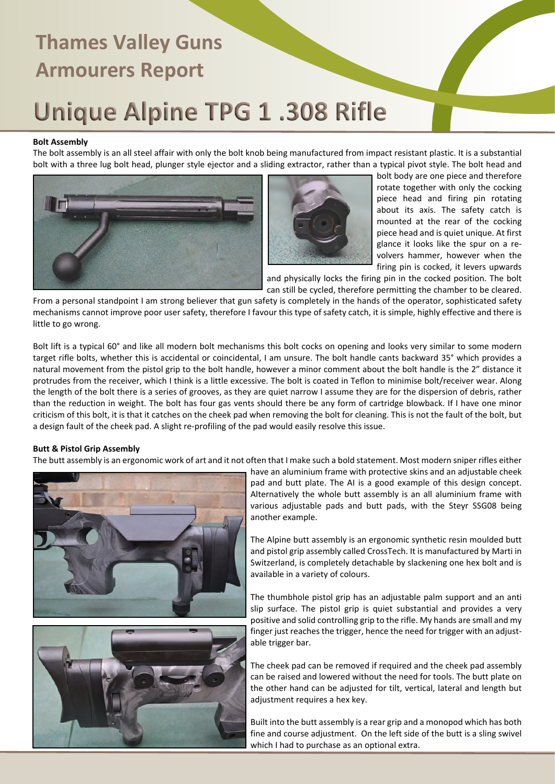### **Thames Valley Guns Armourers Report**

### Unique Alpine TPG 1.308 Rifle

#### **Bolt Assembly**

The bolt assembly is an all steel affair with only the bolt knob being manufactured from impact resistant plastic. It is a substantial bolt with a three lug bolt head, plunger style ejector and a sliding extractor, rather than a typical pivot style. The bolt head and





bolt body are one piece and therefore rotate together with only the cocking piece head and firing pin rotating about its axis. The safety catch is mounted at the rear of the cocking piece head and is quiet unique. At first glance it looks like the spur on a revolvers hammer, however when the firing pin is cocked, it levers upwards

and physically locks the firing pin in the cocked position. The bolt can still be cycled, therefore permitting the chamber to be cleared.

From a personal standpoint I am strong believer that gun safety is completely in the hands of the operator, sophisticated safety mechanisms cannot improve poor user safety, therefore I favour this type of safety catch, it is simple, highly effective and there is little to go wrong.

Bolt lift is a typical 60° and like all modern bolt mechanisms this bolt cocks on opening and looks very similar to some modern target rifle bolts, whether this is accidental or coincidental, I am unsure. The bolt handle cants backward 35° which provides a natural movement from the pistol grip to the bolt handle, however a minor comment about the bolt handle is the 2" distance it protrudes from the receiver, which I think is a little excessive. The bolt is coated in Teflon to minimise bolt/receiver wear. Along the length of the bolt there is a series of grooves, as they are quiet narrow I assume they are for the dispersion of debris, rather than the reduction in weight. The bolt has four gas vents should there be any form of cartridge blowback. If I have one minor criticism of this bolt, it is that it catches on the cheek pad when removing the bolt for cleaning. This is not the fault of the bolt, but a design fault of the cheek pad. A slight re-profiling of the pad would easily resolve this issue.

#### **Butt & Pistol Grip Assembly**

The butt assembly is an ergonomic work of art and it not often that I make such a bold statement. Most modern sniper rifles either





have an aluminium frame with protective skins and an adjustable cheek pad and butt plate. The AI is a good example of this design concept. Alternatively the whole butt assembly is an all aluminium frame with various adjustable pads and butt pads, with the Steyr SSG08 being another example.

The Alpine butt assembly is an ergonomic synthetic resin moulded butt and pistol grip assembly called CrossTech. It is manufactured by Marti in Switzerland, is completely detachable by slackening one hex bolt and is available in a variety of colours.

The thumbhole pistol grip has an adjustable palm support and an anti slip surface. The pistol grip is quiet substantial and provides a very positive and solid controlling grip to the rifle. My hands are small and my finger just reaches the trigger, hence the need for trigger with an adjustable trigger bar.

The cheek pad can be removed if required and the cheek pad assembly can be raised and lowered without the need for tools. The butt plate on the other hand can be adjusted for tilt, vertical, lateral and length but adjustment requires a hex key.

Built into the butt assembly is a rear grip and a monopod which has both fine and course adjustment. On the left side of the butt is a sling swivel which I had to purchase as an optional extra.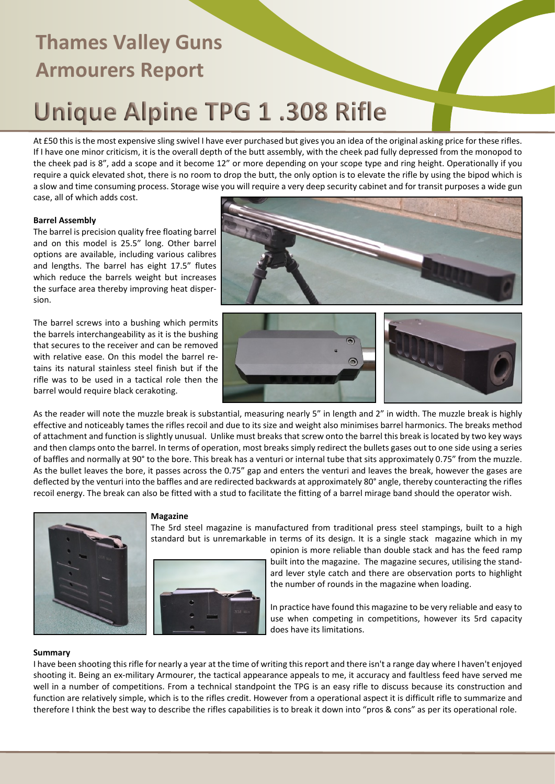## **Thames Valley Guns Armourers Report** Unique Alpine TPG 1.308 Rifle

At £50 this is the most expensive sling swivel I have ever purchased but gives you an idea of the original asking price for these rifles. If I have one minor criticism, it is the overall depth of the butt assembly, with the cheek pad fully depressed from the monopod to the cheek pad is 8", add a scope and it become 12" or more depending on your scope type and ring height. Operationally if you require a quick elevated shot, there is no room to drop the butt, the only option is to elevate the rifle by using the bipod which is a slow and time consuming process. Storage wise you will require a very deep security cabinet and for transit purposes a wide gun case, all of which adds cost.

#### **Barrel Assembly**

The barrel is precision quality free floating barrel and on this model is 25.5" long. Other barrel options are available, including various calibres and lengths. The barrel has eight 17.5" flutes which reduce the barrels weight but increases the surface area thereby improving heat dispersion.

The barrel screws into a bushing which permits the barrels interchangeability as it is the bushing that secures to the receiver and can be removed with relative ease. On this model the barrel retains its natural stainless steel finish but if the rifle was to be used in a tactical role then the barrel would require black cerakoting.







As the reader will note the muzzle break is substantial, measuring nearly 5" in length and 2" in width. The muzzle break is highly effective and noticeably tames the rifles recoil and due to its size and weight also minimises barrel harmonics. The breaks method of attachment and function is slightly unusual. Unlike must breaks that screw onto the barrel this break is located by two key ways and then clamps onto the barrel. In terms of operation, most breaks simply redirect the bullets gases out to one side using a series of baffles and normally at 90° to the bore. This break has a venturi or internal tube that sits approximately 0.75" from the muzzle. As the bullet leaves the bore, it passes across the 0.75" gap and enters the venturi and leaves the break, however the gases are deflected by the venturi into the baffles and are redirected backwards at approximately 80° angle, thereby counteracting the rifles recoil energy. The break can also be fitted with a stud to facilitate the fitting of a barrel mirage band should the operator wish.

#### **Magazine**

The 5rd steel magazine is manufactured from traditional press steel stampings, built to a high standard but is unremarkable in terms of its design. It is a single stack magazine which in my



opinion is more reliable than double stack and has the feed ramp built into the magazine. The magazine secures, utilising the standard lever style catch and there are observation ports to highlight the number of rounds in the magazine when loading.

In practice have found this magazine to be very reliable and easy to use when competing in competitions, however its 5rd capacity does have its limitations.

#### **Summary**

I have been shooting this rifle for nearly a year at the time of writing this report and there isn't a range day where I haven't enjoyed shooting it. Being an ex-military Armourer, the tactical appearance appeals to me, it accuracy and faultless feed have served me well in a number of competitions. From a technical standpoint the TPG is an easy rifle to discuss because its construction and function are relatively simple, which is to the rifles credit. However from a operational aspect it is difficult rifle to summarize and therefore I think the best way to describe the rifles capabilities is to break it down into "pros & cons" as per its operational role.